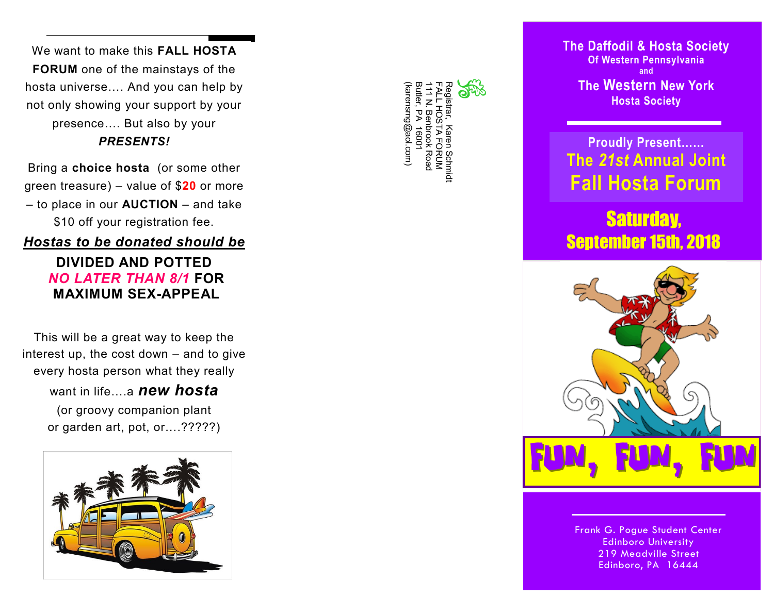We want to make this **FALL HOSTA FORUM** one of the mainstays of the hosta universe…. And you can help by not only showing your support by your presence…. But also by your *PRESENTS!*

Bring a **choice hosta** (or some other green treasure) – value of \$**20** or more – to place in our **AUCTION** – and take \$10 off your registration fee.

## *Hostas to be donated should be*

**DIVIDED AND POTTED** *NO LATER THAN 8/1* **FOR MAXIMUM SEX-APPEAL**

This will be a great way to keep the interest up, the cost down – and to give every hosta person what they really

> want in life **a new hosta** (or groovy companion plant

or garden art, pot, or….?????)



| (karensmg@aol.com) | Butler, PA 16001 | 111 N. Benprook Road | -ALL HOSTA FORUM | Registrar, Karen Schrint | ۲ |  |
|--------------------|------------------|----------------------|------------------|--------------------------|---|--|
|                    |                  |                      |                  |                          |   |  |

**The Daffodil & Hosta Society Of Western Pennsylvania and The Western New York Hosta Society**

## **Proudly Present…… The** *21st* **Annual Joint Fall Hosta Forum**

## Saturday, September 15th, 2018



Frank G. Pogue Student Center Edinboro University 219 Meadville Street Edinboro, PA 16444